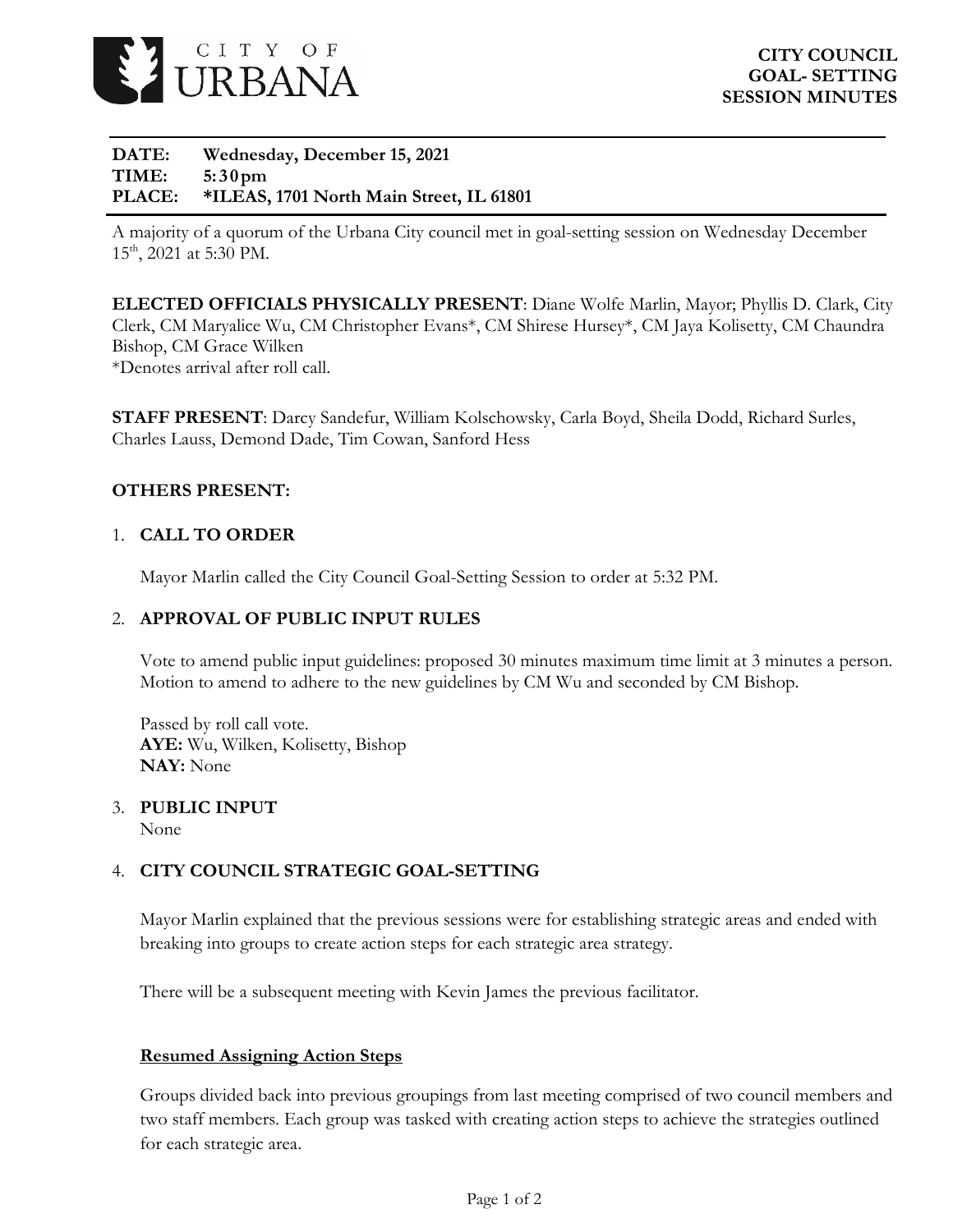

**DATE: Wednesday, December 15, 2021 TIME: 5:3 0pm PLACE: \*ILEAS, 1701 North Main Street, IL 61801**

A majority of a quorum of the Urbana City council met in goal-setting session on Wednesday December 15th, 2021 at 5:30 PM.

**ELECTED OFFICIALS PHYSICALLY PRESENT**: Diane Wolfe Marlin, Mayor; Phyllis D. Clark, City Clerk, CM Maryalice Wu, CM Christopher Evans\*, CM Shirese Hursey\*, CM Jaya Kolisetty, CM Chaundra Bishop, CM Grace Wilken \*Denotes arrival after roll call.

**STAFF PRESENT**: Darcy Sandefur, William Kolschowsky, Carla Boyd, Sheila Dodd, Richard Surles, Charles Lauss, Demond Dade, Tim Cowan, Sanford Hess

#### **OTHERS PRESENT:**

#### 1. **CALL TO ORDER**

Mayor Marlin called the City Council Goal-Setting Session to order at 5:32 PM.

#### 2. **APPROVAL OF PUBLIC INPUT RULES**

Vote to amend public input guidelines: proposed 30 minutes maximum time limit at 3 minutes a person. Motion to amend to adhere to the new guidelines by CM Wu and seconded by CM Bishop.

Passed by roll call vote. **AYE:** Wu, Wilken, Kolisetty, Bishop **NAY:** None

### 3. **PUBLIC INPUT**

None

#### 4. **CITY COUNCIL STRATEGIC GOAL-SETTING**

Mayor Marlin explained that the previous sessions were for establishing strategic areas and ended with breaking into groups to create action steps for each strategic area strategy.

There will be a subsequent meeting with Kevin James the previous facilitator.

#### **Resumed Assigning Action Steps**

Groups divided back into previous groupings from last meeting comprised of two council members and two staff members. Each group was tasked with creating action steps to achieve the strategies outlined for each strategic area.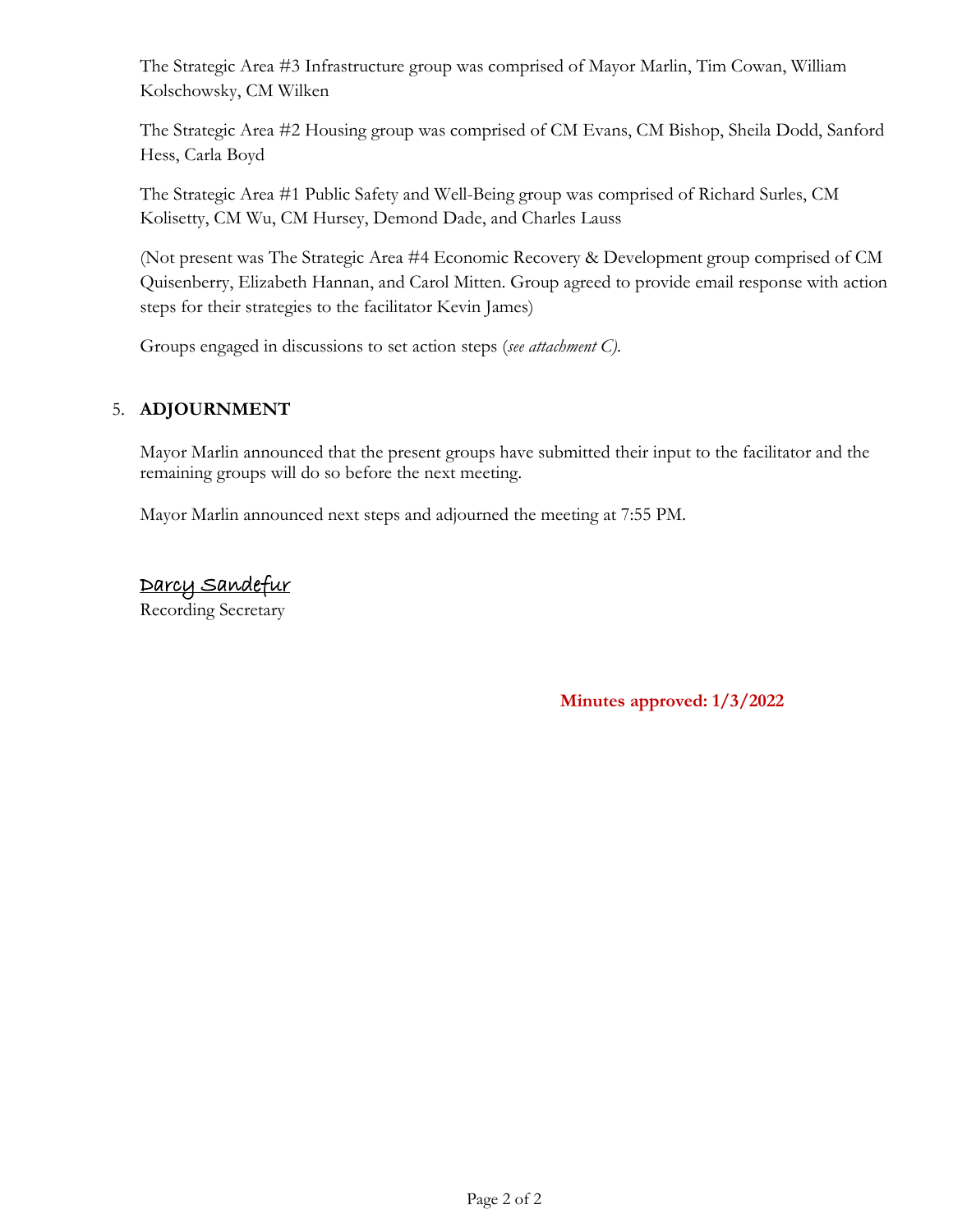The Strategic Area #3 Infrastructure group was comprised of Mayor Marlin, Tim Cowan, William Kolschowsky, CM Wilken

The Strategic Area #2 Housing group was comprised of CM Evans, CM Bishop, Sheila Dodd, Sanford Hess, Carla Boyd

The Strategic Area #1 Public Safety and Well-Being group was comprised of Richard Surles, CM Kolisetty, CM Wu, CM Hursey, Demond Dade, and Charles Lauss

(Not present was The Strategic Area #4 Economic Recovery & Development group comprised of CM Quisenberry, Elizabeth Hannan, and Carol Mitten. Group agreed to provide email response with action steps for their strategies to the facilitator Kevin James)

Groups engaged in discussions to set action steps (*see attachment C)*.

#### 5. **ADJOURNMENT**

Mayor Marlin announced that the present groups have submitted their input to the facilitator and the remaining groups will do so before the next meeting.

Mayor Marlin announced next steps and adjourned the meeting at 7:55 PM.

### Darcy Sandefur

Recording Secretary

**Minutes approved: 1/3/2022**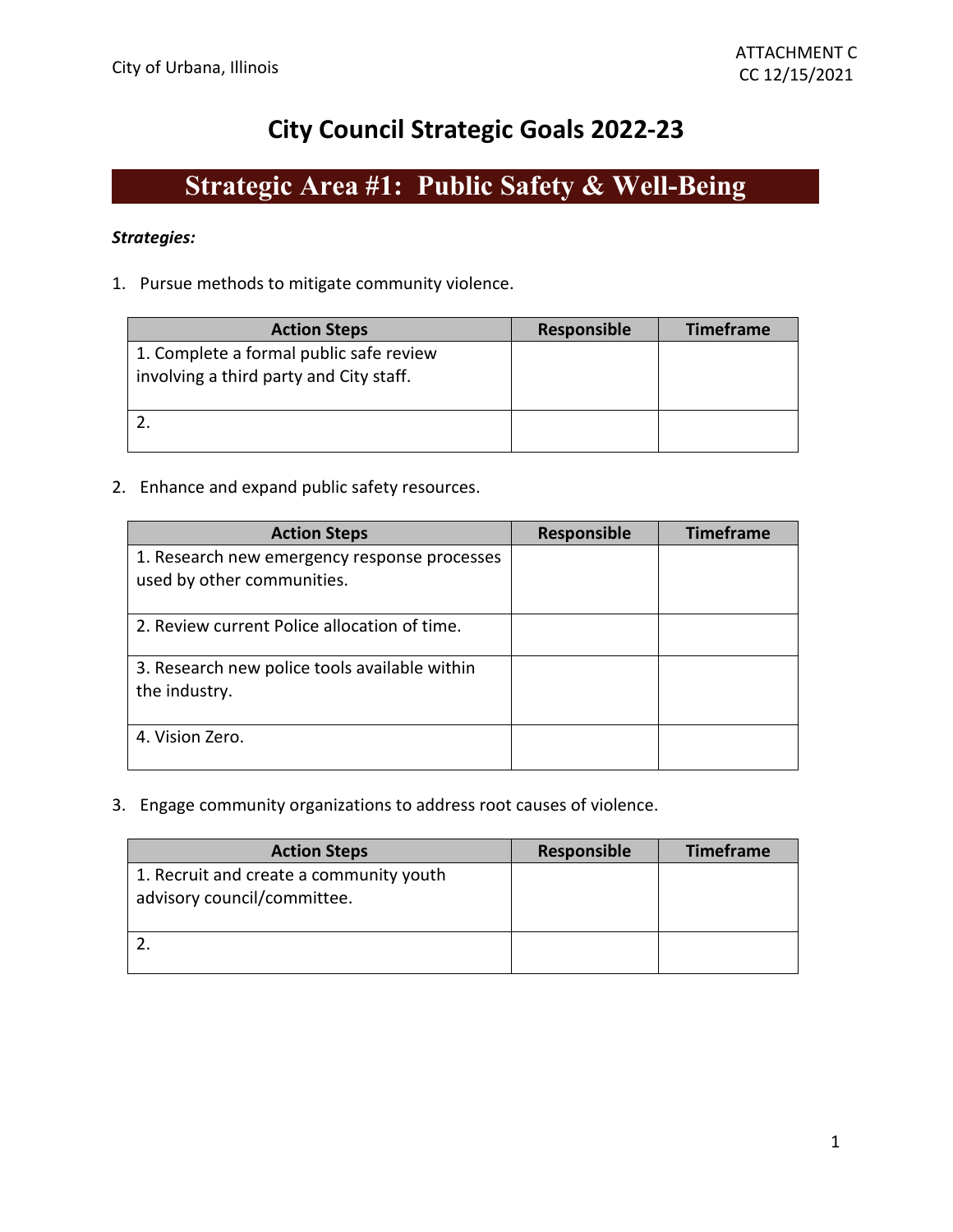### **City Council Strategic Goals 2022-23**

## **Strategic Area #1: Public Safety & Well-Being**

#### *Strategies:*

1. Pursue methods to mitigate community violence.

| <b>Action Steps</b>                                                                | <b>Responsible</b> | <b>Timeframe</b> |
|------------------------------------------------------------------------------------|--------------------|------------------|
| 1. Complete a formal public safe review<br>involving a third party and City staff. |                    |                  |
|                                                                                    |                    |                  |

#### 2. Enhance and expand public safety resources.

| <b>Action Steps</b>                           | <b>Responsible</b> | <b>Timeframe</b> |
|-----------------------------------------------|--------------------|------------------|
| 1. Research new emergency response processes  |                    |                  |
| used by other communities.                    |                    |                  |
| 2. Review current Police allocation of time.  |                    |                  |
| 3. Research new police tools available within |                    |                  |
| the industry.                                 |                    |                  |
|                                               |                    |                  |
| 4. Vision Zero.                               |                    |                  |
|                                               |                    |                  |

3. Engage community organizations to address root causes of violence.

| <b>Action Steps</b>                                                    | <b>Responsible</b> | <b>Timeframe</b> |
|------------------------------------------------------------------------|--------------------|------------------|
| 1. Recruit and create a community youth<br>advisory council/committee. |                    |                  |
|                                                                        |                    |                  |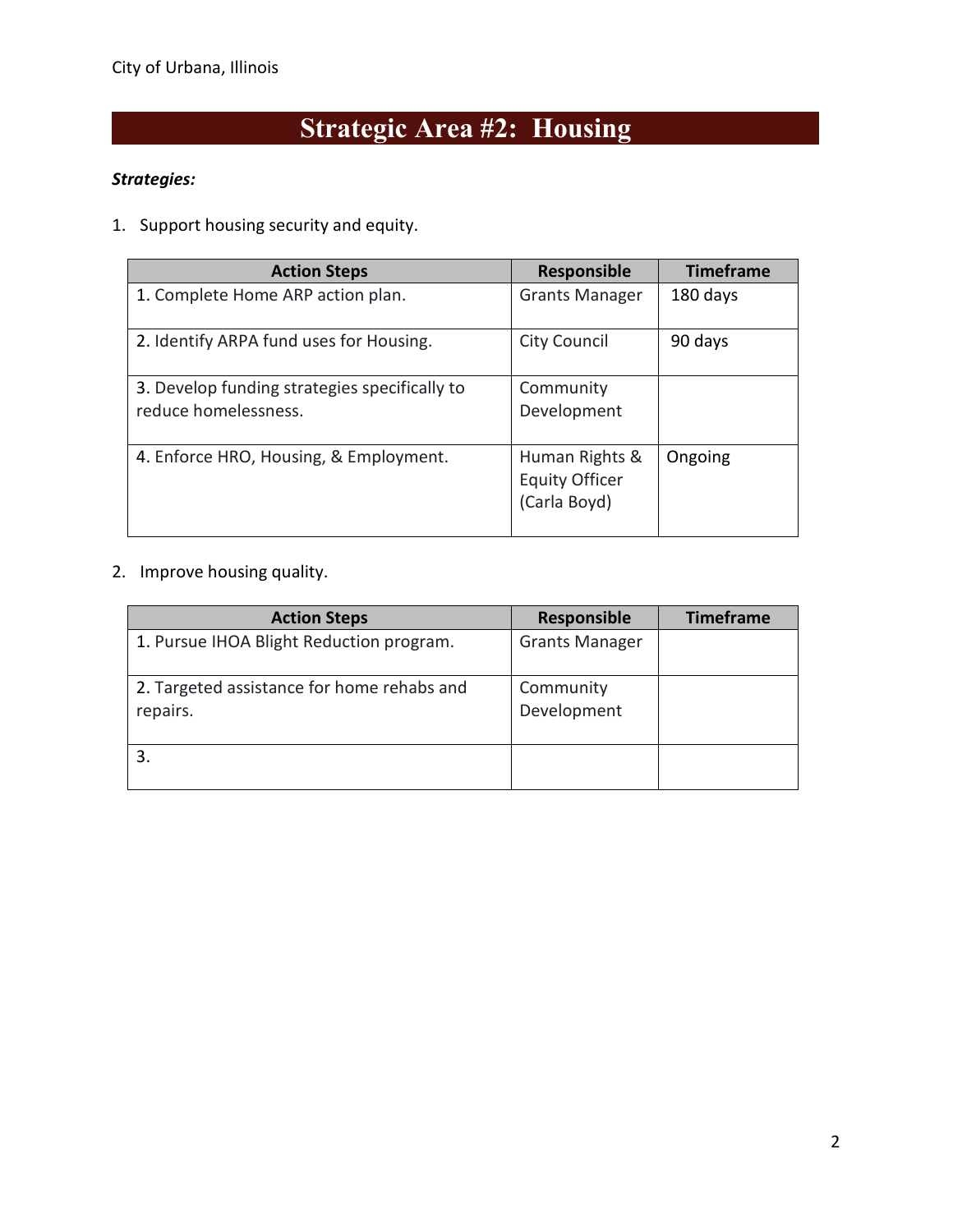# **Strategic Area #2: Housing**

#### *Strategies:*

1. Support housing security and equity.

| <b>Action Steps</b>                                                   | <b>Responsible</b>                                      | <b>Timeframe</b> |
|-----------------------------------------------------------------------|---------------------------------------------------------|------------------|
| 1. Complete Home ARP action plan.                                     | <b>Grants Manager</b>                                   | 180 days         |
| 2. Identify ARPA fund uses for Housing.                               | <b>City Council</b>                                     | 90 days          |
| 3. Develop funding strategies specifically to<br>reduce homelessness. | Community<br>Development                                |                  |
| 4. Enforce HRO, Housing, & Employment.                                | Human Rights &<br><b>Equity Officer</b><br>(Carla Boyd) | Ongoing          |

#### 2. Improve housing quality.

| <b>Action Steps</b>                                    | <b>Responsible</b>       | <b>Timeframe</b> |
|--------------------------------------------------------|--------------------------|------------------|
| 1. Pursue IHOA Blight Reduction program.               | <b>Grants Manager</b>    |                  |
| 2. Targeted assistance for home rehabs and<br>repairs. | Community<br>Development |                  |
|                                                        |                          |                  |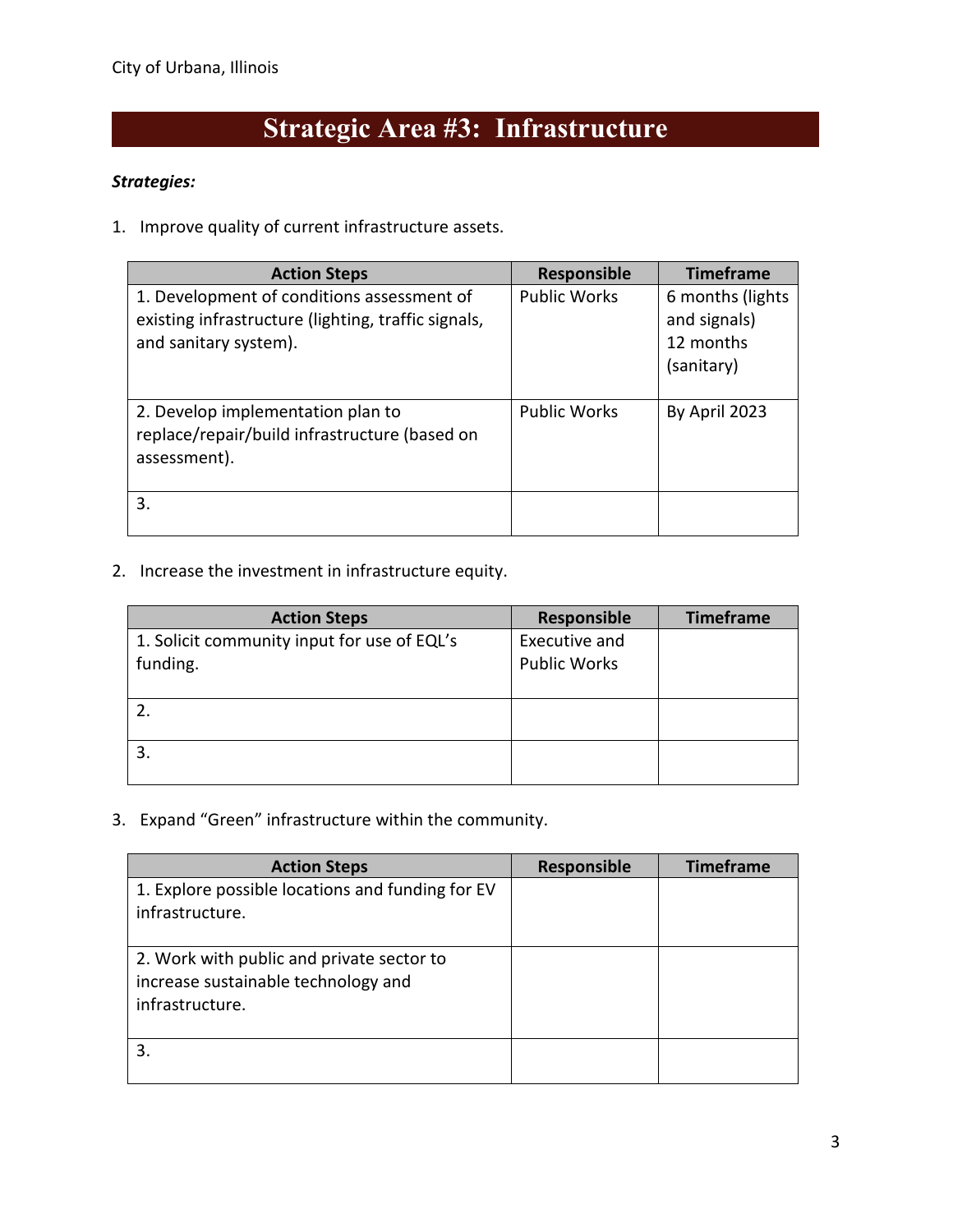# **Strategic Area #3: Infrastructure**

#### *Strategies:*

1. Improve quality of current infrastructure assets.

| <b>Action Steps</b>                                                                                                        | <b>Responsible</b>  | <b>Timeframe</b>                                            |
|----------------------------------------------------------------------------------------------------------------------------|---------------------|-------------------------------------------------------------|
| 1. Development of conditions assessment of<br>existing infrastructure (lighting, traffic signals,<br>and sanitary system). | <b>Public Works</b> | 6 months (lights<br>and signals)<br>12 months<br>(sanitary) |
| 2. Develop implementation plan to<br>replace/repair/build infrastructure (based on<br>assessment).                         | <b>Public Works</b> | By April 2023                                               |
| 3.                                                                                                                         |                     |                                                             |

2. Increase the investment in infrastructure equity.

| <b>Action Steps</b>                         | Responsible         | <b>Timeframe</b> |
|---------------------------------------------|---------------------|------------------|
| 1. Solicit community input for use of EQL's | Executive and       |                  |
| funding.                                    | <b>Public Works</b> |                  |
|                                             |                     |                  |
|                                             |                     |                  |
|                                             |                     |                  |
|                                             |                     |                  |
|                                             |                     |                  |

3. Expand "Green" infrastructure within the community.

| <b>Action Steps</b>                              | Responsible | <b>Timeframe</b> |
|--------------------------------------------------|-------------|------------------|
| 1. Explore possible locations and funding for EV |             |                  |
| infrastructure.                                  |             |                  |
| 2. Work with public and private sector to        |             |                  |
| increase sustainable technology and              |             |                  |
| infrastructure.                                  |             |                  |
|                                                  |             |                  |
|                                                  |             |                  |